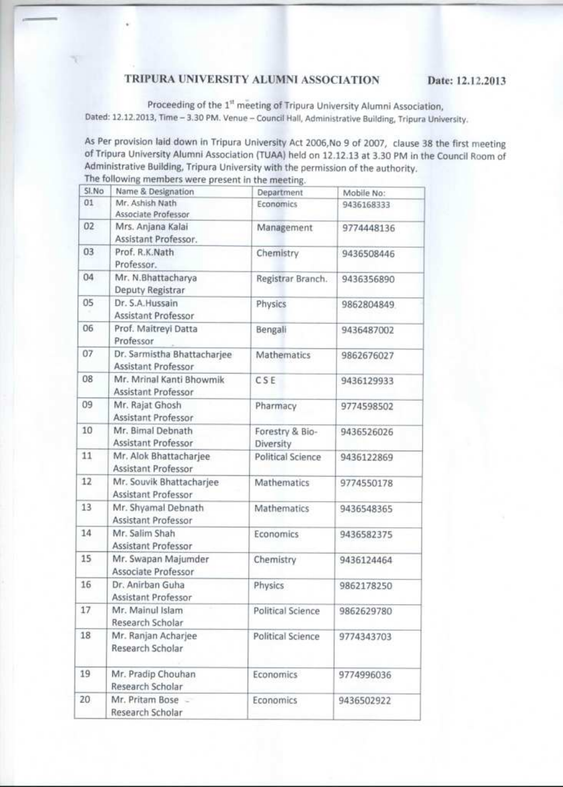## TRIPURA UNIVERSITY ALUMNI ASSOCIATION

Proceeding of the 1<sup>st</sup> meeting of Tripura University Alumni Association, Dated: 12.12.2013, Time - 3.30 PM. Venue - Council Hall, Administrative Building, Tripura University.

As Per provision laid down in Tripura University Act 2006, No 9 of 2007, clause 38 the first meeting of Tripura University Alumni Association (TUAA) held on 12.12.13 at 3.30 PM in the Council Room of Administrative Building, Tripura University with the permission of the authority. The following members were present in the meeting.

| SI.No | Name & Designation                                 | Department                   | Mobile No: |
|-------|----------------------------------------------------|------------------------------|------------|
| 01    | Mr. Ashish Nath<br>Associate Professor             | Economics                    | 9436168333 |
| 02    | Mrs. Anjana Kalai<br>Assistant Professor.          | Management                   | 9774448136 |
| 03    | Prof. R.K.Nath<br>Professor.                       | Chemistry                    | 9436508446 |
| 04    | Mr. N.Bhattacharya<br>Deputy Registrar             | Registrar Branch.            | 9436356890 |
| 05    | Dr. S.A.Hussain<br>Assistant Professor             | Physics                      | 9862804849 |
| 06    | Prof. Maitreyi Datta<br>Professor                  | Bengali                      | 9436487002 |
| 07    | Dr. Sarmistha Bhattacharjee<br>Assistant Professor | Mathematics                  | 9862676027 |
| 08    | Mr. Mrinal Kanti Bhowmik<br>Assistant Professor    | CSE                          | 9436129933 |
| 09    | Mr. Rajat Ghosh<br>Assistant Professor             | Pharmacy                     | 9774598502 |
| 10    | Mr. Bimal Debnath<br>Assistant Professor           | Forestry & Bio-<br>Diversity | 9436526026 |
| 11    | Mr. Alok Bhattacharjee<br>Assistant Professor      | <b>Political Science</b>     | 9436122869 |
| 12    | Mr. Souvik Bhattacharjee<br>Assistant Professor    | Mathematics                  | 9774550178 |
| 13    | Mr. Shyamal Debnath<br><b>Assistant Professor</b>  | Mathematics                  | 9436548365 |
| 14    | Mr. Salim Shah<br><b>Assistant Professor</b>       | Economics                    | 9436582375 |
| 15    | Mr. Swapan Majumder<br>Associate Professor         | Chemistry                    | 9436124464 |
| 16    | Dr. Anirban Guha<br>Assistant Professor            | Physics                      | 9862178250 |
| 17    | Mr. Mainul Islam<br>Research Scholar               | <b>Political Science</b>     | 9862629780 |
| 18    | Mr. Ranjan Acharjee<br>Research Scholar            | Political Science            | 9774343703 |
| 19    | Mr. Pradip Chouhan<br>Research Scholar             | Economics                    | 9774996036 |
| 20    | Mr. Pritam Bose -<br>Research Scholar              | Economics                    | 9436502922 |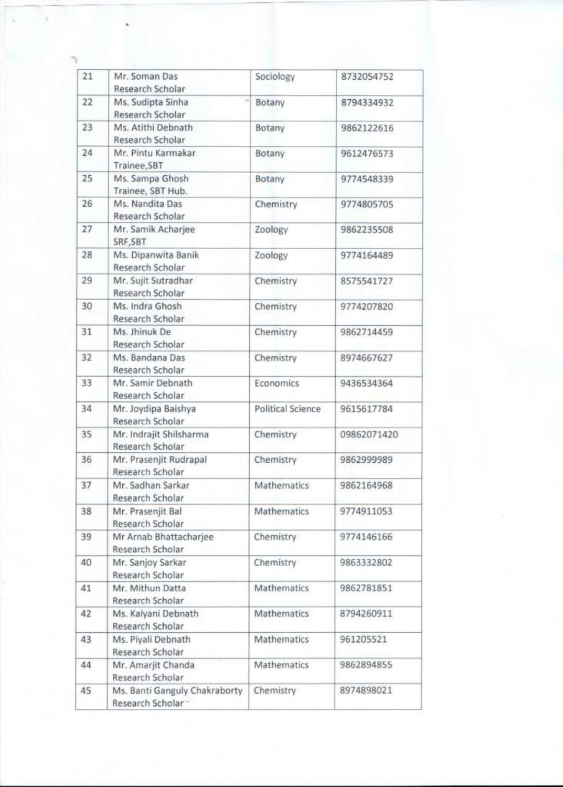| 21 | Mr. Soman Das<br>Research Scholar                  | Sociology         | 8732054752  |
|----|----------------------------------------------------|-------------------|-------------|
| 22 | Ms. Sudipta Sinha<br>Research Scholar              | Botany            | 8794334932  |
| 23 | Ms. Atithi Debnath<br>Research Scholar             | Botany            | 9862122616  |
| 24 | Mr. Pintu Karmakar<br>Trainee, SBT                 | Botany            | 9612476573  |
| 25 | Ms. Sampa Ghosh<br>Trainee, SBT Hub.               | Botany            | 9774548339  |
| 26 | Ms. Nandita Das<br>Research Scholar                | Chemistry         | 9774805705  |
| 27 | Mr. Samik Acharjee<br>SRF, SBT                     | Zoology           | 9862235508  |
| 28 | Ms. Dipanwita Banik<br>Research Scholar            | Zoology           | 9774164489  |
| 29 | Mr. Sujit Sutradhar<br>Research Scholar            | Chemistry         | 8575541727  |
| 30 | Ms. Indra Ghosh<br>Research Scholar                | Chemistry         | 9774207820  |
| 31 | Ms. Jhinuk De<br>Research Scholar                  | Chemistry         | 9862714459  |
| 32 | Ms. Bandana Das<br>Research Scholar                | Chemistry         | 8974667627  |
| 33 | Mr. Samir Debnath<br>Research Scholar              | <b>Economics</b>  | 9436534364  |
| 34 | Mr. Joydipa Baishya<br>Research Scholar            | Political Science | 9615617784  |
| 35 | Mr. Indrajit Shilsharma<br>Research Scholar        | Chemistry         | 09862071420 |
| 36 | Mr. Prasenjit Rudrapal<br>Research Scholar         | Chemistry         | 9862999989  |
| 37 | Mr. Sadhan Sarkar<br>Research Scholar              | Mathematics       | 9862164968  |
| 38 | Mr. Prasenjit Bal<br>Research Scholar              | Mathematics       | 9774911053  |
| 39 | Mr Arnab Bhattacharjee<br>Research Scholar         | Chemistry         | 9774146166  |
| 40 | Mr. Sanjoy Sarkar<br>Research Scholar              | Chemistry         | 9863332802  |
| 41 | Mr. Mithun Datta<br>Research Scholar               | Mathematics       | 9862781851  |
| 42 | Ms. Kalyani Debnath<br>Research Scholar            | Mathematics       | 8794260911  |
| 43 | Ms. Piyali Debnath<br>Research Scholar             | Mathematics       | 961205521   |
| 44 | Mr. Amarjit Chanda<br>Research Scholar             | Mathematics       | 9862894855  |
| 45 | Ms. Banti Ganguly Chakraborty<br>Research Scholar- | Chemistry         | 8974898021  |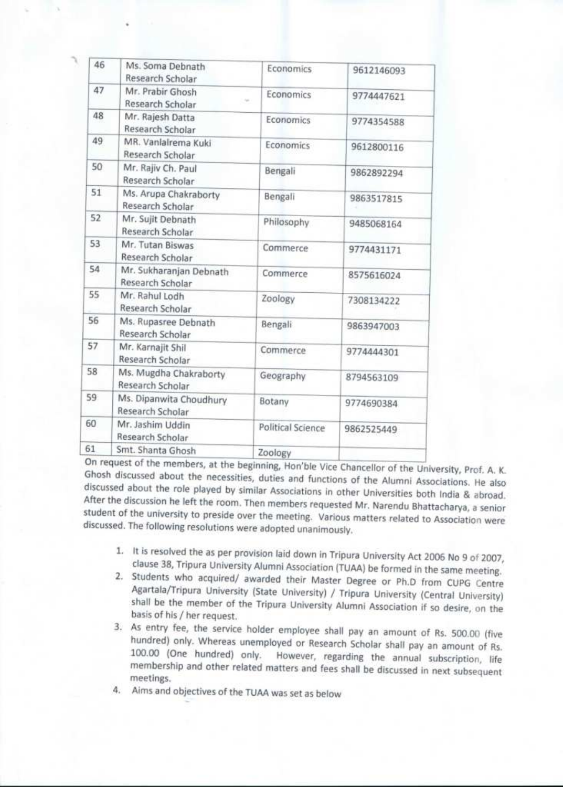| 46 | Ms. Soma Debnath<br>Research Scholar        | Economics                | 9612146093 |
|----|---------------------------------------------|--------------------------|------------|
| 47 | Mr. Prabir Ghosh<br>Research Scholar        | Economics<br>ter.        | 9774447621 |
| 48 | Mr. Rajesh Datta<br>Research Scholar        | Economics                | 9774354588 |
| 49 | MR. Vanlalrema Kuki<br>Research Scholar     | Economics                | 9612800116 |
| 50 | Mr. Rajiv Ch. Paul<br>Research Scholar      | Bengali                  | 9862892294 |
| 51 | Ms. Arupa Chakraborty<br>Research Scholar   | Bengali                  | 9863517815 |
| 52 | Mr. Sujit Debnath<br>Research Scholar       | Philosophy               | 9485068164 |
| 53 | Mr. Tutan Biswas<br>Research Scholar        | Commerce                 | 9774431171 |
| 54 | Mr. Sukharanjan Debnath<br>Research Scholar | Commerce                 | 8575616024 |
| 55 | Mr. Rahul Lodh<br>Research Scholar          | Zoology                  | 7308134222 |
| 56 | Ms. Rupasree Debnath<br>Research Scholar    | Bengali                  | 9863947003 |
| 57 | Mr. Karnajit Shil<br>Research Scholar       | Commerce                 | 9774444301 |
| 58 | Ms. Mugdha Chakraborty<br>Research Scholar  | Geography                | 8794563109 |
| 59 | Ms. Dipanwita Choudhury<br>Research Scholar | Botany                   | 9774690384 |
| 60 | Mr. Jashim Uddin<br>Research Scholar        | <b>Political Science</b> | 9862525449 |
| 61 | Smt. Shanta Ghosh                           | Zoology                  |            |

On request of the members, at the beginning, Hon'ble Vice Chancellor of the University, Prof. A. K. Ghosh discussed about the necessities, duties and functions of the Alumni Associations. He also discussed about the role played by similar Associations in other Universities both India & abroad. After the discussion he left the room. Then members requested Mr. Narendu Bhattacharya, a senior student of the university to preside over the meeting. Various matters related to Association were discussed. The following resolutions were adopted unanimously.

- 1. It is resolved the as per provision laid down in Tripura University Act 2006 No 9 of 2007, clause 38, Tripura University Alumni Association (TUAA) be formed in the same meeting.
- 2. Students who acquired/ awarded their Master Degree or Ph.D from CUPG Centre Agartala/Tripura University (State University) / Tripura University (Central University) shall be the member of the Tripura University Alumni Association if so desire, on the basis of his / her request.
- 3. As entry fee, the service holder employee shall pay an amount of Rs. 500.00 (five hundred) only. Whereas unemployed or Research Scholar shall pay an amount of Rs. 100.00 (One hundred) only. However, regarding the annual subscription, life membership and other related matters and fees shall be discussed in next subsequent meetings.
- 4. Aims and objectives of the TUAA was set as below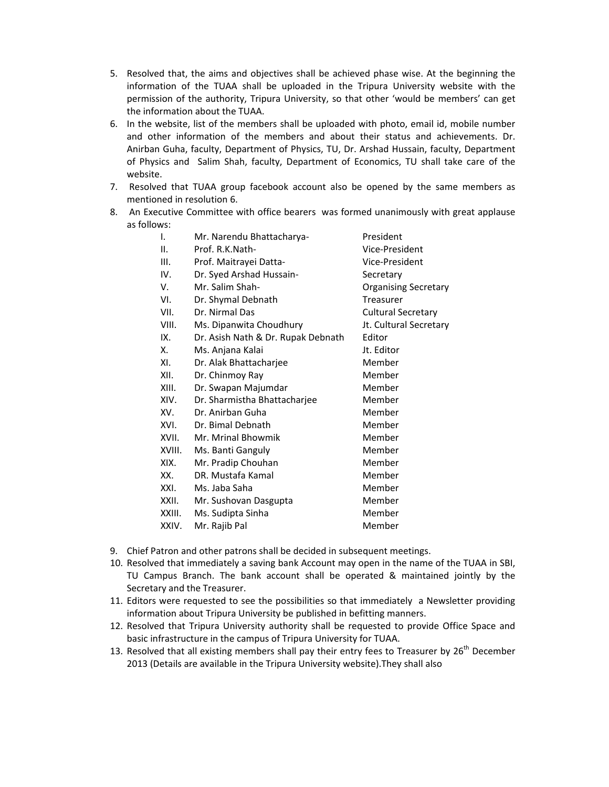- 5. Resolved that, the aims and objectives shall be achieved phase wise. At the beginning the information of the TUAA shall be uploaded in the Tripura University website with the permission of the authority, Tripura University, so that other 'would be members' can get the information about the TUAA.
- 6. In the website, list of the members shall be uploaded with photo, email id, mobile number and other information of the members and about their status and achievements. Dr. Anirban Guha, faculty, Department of Physics, TU, Dr. Arshad Hussain, faculty, Department of Physics and Salim Shah, faculty, Department of Economics, TU shall take care of the website.
- 7. Resolved that TUAA group facebook account also be opened by the same members as mentioned in resolution 6.
- 8. An Executive Committee with office bearers was formed unanimously with great applause as follows:

| I.     | Mr. Narendu Bhattacharya-          | President                   |
|--------|------------------------------------|-----------------------------|
| Ш.     | Prof. R.K.Nath-                    | Vice-President              |
| III.   | Prof. Maitrayei Datta-             | Vice-President              |
| IV.    | Dr. Syed Arshad Hussain-           | Secretary                   |
| V.     | Mr. Salim Shah-                    | <b>Organising Secretary</b> |
| VI.    | Dr. Shymal Debnath                 | <b>Treasurer</b>            |
| VII.   | Dr. Nirmal Das                     | <b>Cultural Secretary</b>   |
| VIII.  | Ms. Dipanwita Choudhury            | Jt. Cultural Secretary      |
| IX.    | Dr. Asish Nath & Dr. Rupak Debnath | Editor                      |
| Χ.     | Ms. Anjana Kalai                   | Jt. Editor                  |
| XI.    | Dr. Alak Bhattacharjee             | Member                      |
| XII.   | Dr. Chinmoy Ray                    | Member                      |
| XIII.  | Dr. Swapan Majumdar                | Member                      |
| XIV.   | Dr. Sharmistha Bhattacharjee       | Member                      |
| XV.    | Dr. Anirban Guha                   | Member                      |
| XVI.   | Dr. Bimal Debnath                  | Member                      |
| XVII.  | Mr. Mrinal Bhowmik                 | Member                      |
| XVIII. | Ms. Banti Ganguly                  | Member                      |
| XIX.   | Mr. Pradip Chouhan                 | Member                      |
| XX.    | DR. Mustafa Kamal                  | Member                      |
| XXI.   | Ms. Jaba Saha                      | Member                      |
| XXII.  | Mr. Sushovan Dasgupta              | Member                      |
| XXIII. | Ms. Sudipta Sinha                  | Member                      |
| XXIV.  | Mr. Rajib Pal                      | Member                      |

- 9. Chief Patron and other patrons shall be decided in subsequent meetings.
- 10. Resolved that immediately a saving bank Account may open in the name of the TUAA in SBI, TU Campus Branch. The bank account shall be operated & maintained jointly by the Secretary and the Treasurer.
- 11. Editors were requested to see the possibilities so that immediately a Newsletter providing information about Tripura University be published in befitting manners.
- 12. Resolved that Tripura University authority shall be requested to provide Office Space and basic infrastructure in the campus of Tripura University for TUAA.
- 13. Resolved that all existing members shall pay their entry fees to Treasurer by  $26<sup>th</sup>$  December 2013 (Details are available in the Tripura University website).They shall also